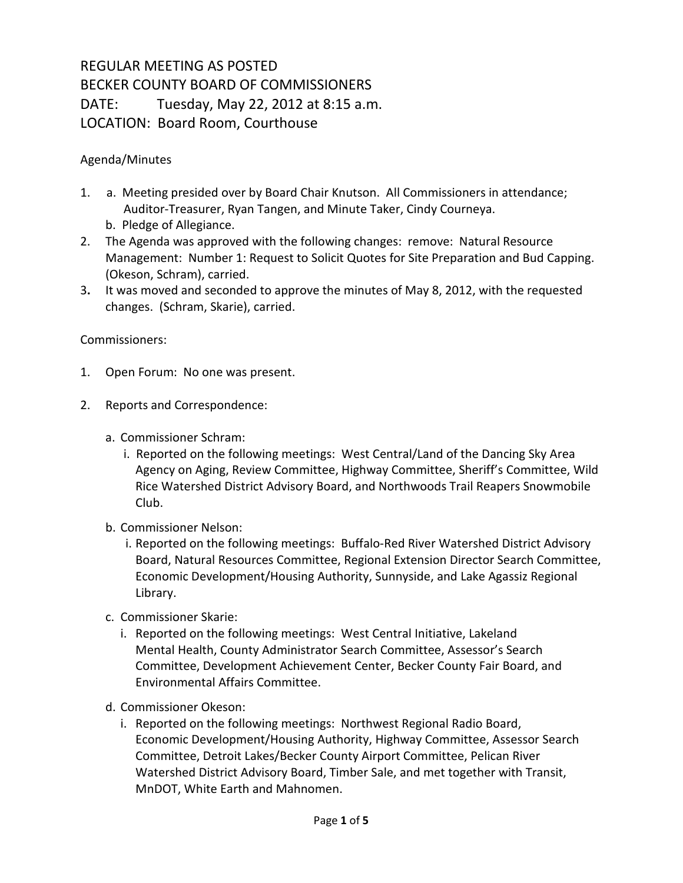## REGULAR MEETING AS POSTED BECKER COUNTY BOARD OF COMMISSIONERS DATE: Tuesday, May 22, 2012 at 8:15 a.m. LOCATION: Board Room, Courthouse

## Agenda/Minutes

- 1. a. Meeting presided over by Board Chair Knutson. All Commissioners in attendance; Auditor-Treasurer, Ryan Tangen, and Minute Taker, Cindy Courneya.
	- b. Pledge of Allegiance.
- 2. The Agenda was approved with the following changes: remove: Natural Resource Management: Number 1: Request to Solicit Quotes for Site Preparation and Bud Capping. (Okeson, Schram), carried.
- 3**.** It was moved and seconded to approve the minutes of May 8, 2012, with the requested changes. (Schram, Skarie), carried.

## Commissioners:

- 1. Open Forum: No one was present.
- 2. Reports and Correspondence:
	- a. Commissioner Schram:
		- i. Reported on the following meetings: West Central/Land of the Dancing Sky Area Agency on Aging, Review Committee, Highway Committee, Sheriff's Committee, Wild Rice Watershed District Advisory Board, and Northwoods Trail Reapers Snowmobile Club.
	- b. Commissioner Nelson:
		- i. Reported on the following meetings: Buffalo-Red River Watershed District Advisory Board, Natural Resources Committee, Regional Extension Director Search Committee, Economic Development/Housing Authority, Sunnyside, and Lake Agassiz Regional Library.
	- c. Commissioner Skarie:
		- i. Reported on the following meetings: West Central Initiative, Lakeland Mental Health, County Administrator Search Committee, Assessor's Search Committee, Development Achievement Center, Becker County Fair Board, and Environmental Affairs Committee.
	- d. Commissioner Okeson:
		- i. Reported on the following meetings: Northwest Regional Radio Board, Economic Development/Housing Authority, Highway Committee, Assessor Search Committee, Detroit Lakes/Becker County Airport Committee, Pelican River Watershed District Advisory Board, Timber Sale, and met together with Transit, MnDOT, White Earth and Mahnomen.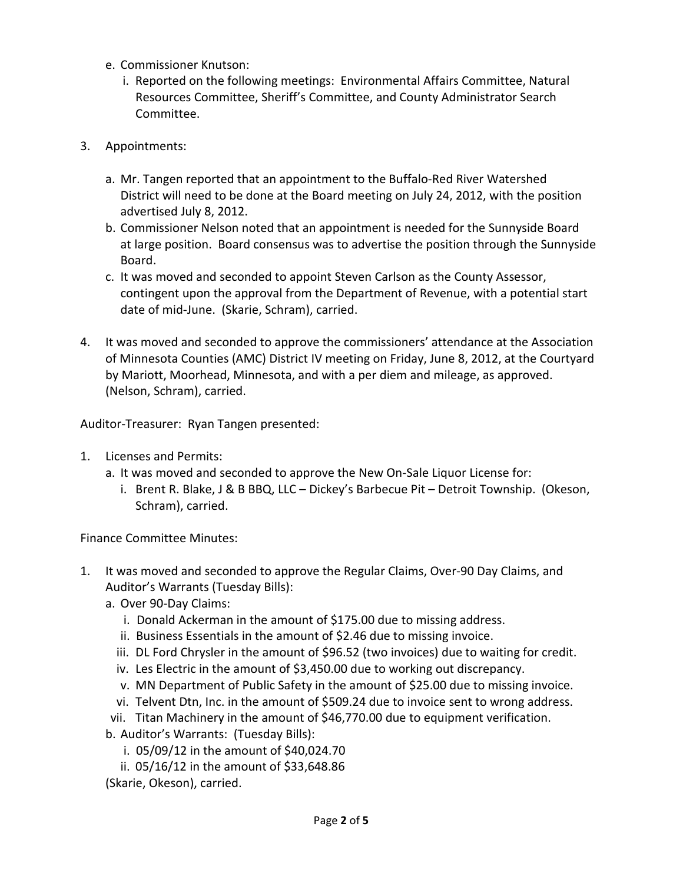- e. Commissioner Knutson:
	- i. Reported on the following meetings: Environmental Affairs Committee, Natural Resources Committee, Sheriff's Committee, and County Administrator Search Committee.
- 3. Appointments:
	- a. Mr. Tangen reported that an appointment to the Buffalo-Red River Watershed District will need to be done at the Board meeting on July 24, 2012, with the position advertised July 8, 2012.
	- b. Commissioner Nelson noted that an appointment is needed for the Sunnyside Board at large position. Board consensus was to advertise the position through the Sunnyside Board.
	- c. It was moved and seconded to appoint Steven Carlson as the County Assessor, contingent upon the approval from the Department of Revenue, with a potential start date of mid-June. (Skarie, Schram), carried.
- 4. It was moved and seconded to approve the commissioners' attendance at the Association of Minnesota Counties (AMC) District IV meeting on Friday, June 8, 2012, at the Courtyard by Mariott, Moorhead, Minnesota, and with a per diem and mileage, as approved. (Nelson, Schram), carried.

Auditor-Treasurer: Ryan Tangen presented:

- 1. Licenses and Permits:
	- a. It was moved and seconded to approve the New On-Sale Liquor License for:
		- i. Brent R. Blake, J & B BBQ, LLC Dickey's Barbecue Pit Detroit Township. (Okeson, Schram), carried.

Finance Committee Minutes:

- 1. It was moved and seconded to approve the Regular Claims, Over-90 Day Claims, and Auditor's Warrants (Tuesday Bills):
	- a. Over 90-Day Claims:
		- i. Donald Ackerman in the amount of \$175.00 due to missing address.
		- ii. Business Essentials in the amount of \$2.46 due to missing invoice.
		- iii. DL Ford Chrysler in the amount of \$96.52 (two invoices) due to waiting for credit.
		- iv. Les Electric in the amount of \$3,450.00 due to working out discrepancy.
		- v. MN Department of Public Safety in the amount of \$25.00 due to missing invoice.
		- vi. Telvent Dtn, Inc. in the amount of \$509.24 due to invoice sent to wrong address.
	- vii. Titan Machinery in the amount of \$46,770.00 due to equipment verification.

b. Auditor's Warrants: (Tuesday Bills):

- i. 05/09/12 in the amount of \$40,024.70
- ii. 05/16/12 in the amount of \$33,648.86

(Skarie, Okeson), carried.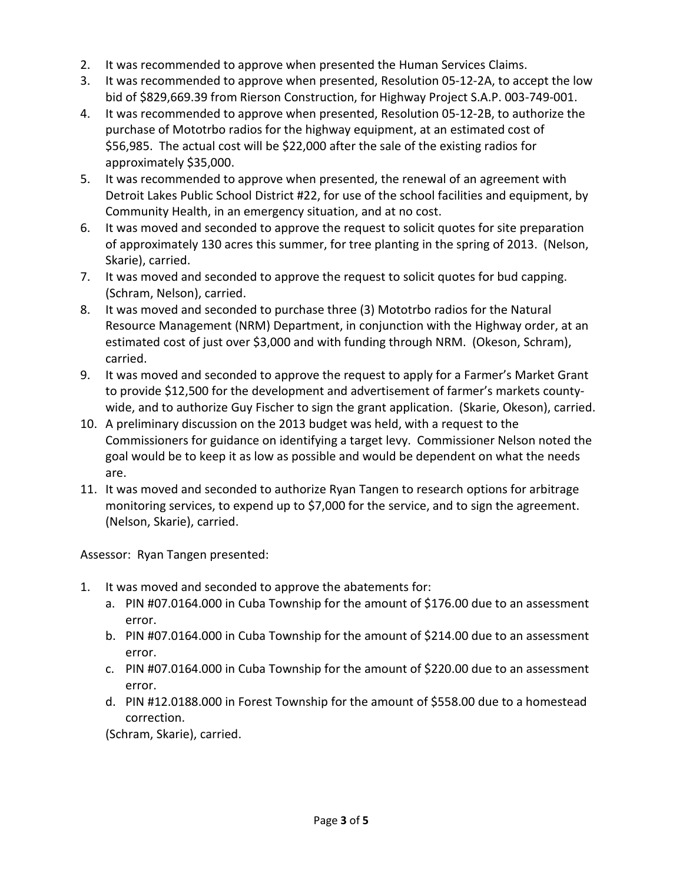- 2. It was recommended to approve when presented the Human Services Claims.
- 3. It was recommended to approve when presented, Resolution 05-12-2A, to accept the low bid of \$829,669.39 from Rierson Construction, for Highway Project S.A.P. 003-749-001.
- 4. It was recommended to approve when presented, Resolution 05-12-2B, to authorize the purchase of Mototrbo radios for the highway equipment, at an estimated cost of \$56,985. The actual cost will be \$22,000 after the sale of the existing radios for approximately \$35,000.
- 5. It was recommended to approve when presented, the renewal of an agreement with Detroit Lakes Public School District #22, for use of the school facilities and equipment, by Community Health, in an emergency situation, and at no cost.
- 6. It was moved and seconded to approve the request to solicit quotes for site preparation of approximately 130 acres this summer, for tree planting in the spring of 2013. (Nelson, Skarie), carried.
- 7. It was moved and seconded to approve the request to solicit quotes for bud capping. (Schram, Nelson), carried.
- 8. It was moved and seconded to purchase three (3) Mototrbo radios for the Natural Resource Management (NRM) Department, in conjunction with the Highway order, at an estimated cost of just over \$3,000 and with funding through NRM. (Okeson, Schram), carried.
- 9. It was moved and seconded to approve the request to apply for a Farmer's Market Grant to provide \$12,500 for the development and advertisement of farmer's markets countywide, and to authorize Guy Fischer to sign the grant application. (Skarie, Okeson), carried.
- 10. A preliminary discussion on the 2013 budget was held, with a request to the Commissioners for guidance on identifying a target levy. Commissioner Nelson noted the goal would be to keep it as low as possible and would be dependent on what the needs are.
- 11. It was moved and seconded to authorize Ryan Tangen to research options for arbitrage monitoring services, to expend up to \$7,000 for the service, and to sign the agreement. (Nelson, Skarie), carried.

Assessor: Ryan Tangen presented:

- 1. It was moved and seconded to approve the abatements for:
	- a. PIN #07.0164.000 in Cuba Township for the amount of \$176.00 due to an assessment error.
	- b. PIN #07.0164.000 in Cuba Township for the amount of \$214.00 due to an assessment error.
	- c. PIN #07.0164.000 in Cuba Township for the amount of \$220.00 due to an assessment error.
	- d. PIN #12.0188.000 in Forest Township for the amount of \$558.00 due to a homestead correction.

(Schram, Skarie), carried.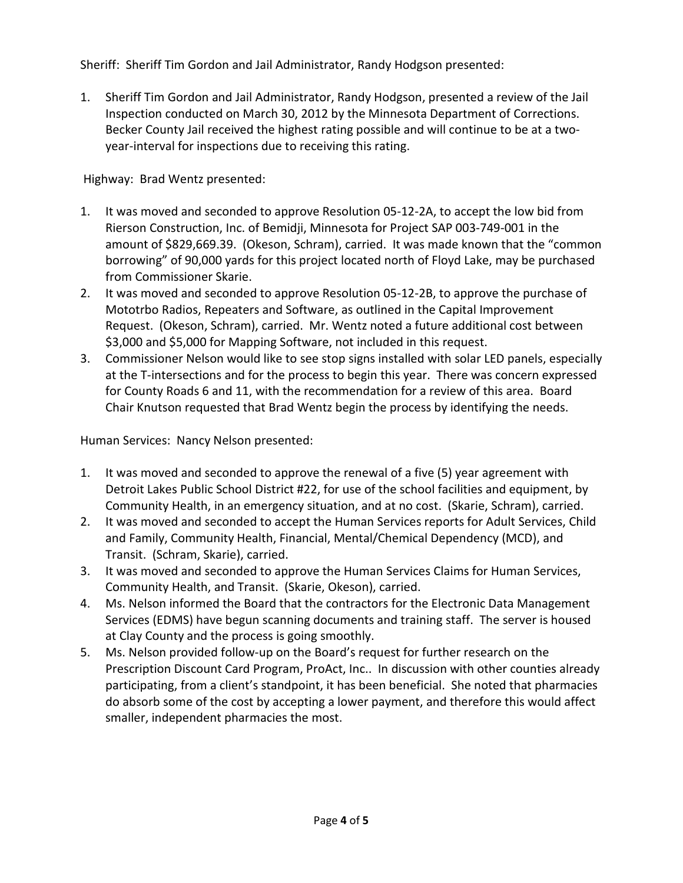Sheriff: Sheriff Tim Gordon and Jail Administrator, Randy Hodgson presented:

1. Sheriff Tim Gordon and Jail Administrator, Randy Hodgson, presented a review of the Jail Inspection conducted on March 30, 2012 by the Minnesota Department of Corrections. Becker County Jail received the highest rating possible and will continue to be at a twoyear-interval for inspections due to receiving this rating.

Highway: Brad Wentz presented:

- 1. It was moved and seconded to approve Resolution 05-12-2A, to accept the low bid from Rierson Construction, Inc. of Bemidji, Minnesota for Project SAP 003-749-001 in the amount of \$829,669.39. (Okeson, Schram), carried. It was made known that the "common borrowing" of 90,000 yards for this project located north of Floyd Lake, may be purchased from Commissioner Skarie.
- 2. It was moved and seconded to approve Resolution 05-12-2B, to approve the purchase of Mototrbo Radios, Repeaters and Software, as outlined in the Capital Improvement Request. (Okeson, Schram), carried. Mr. Wentz noted a future additional cost between \$3,000 and \$5,000 for Mapping Software, not included in this request.
- 3. Commissioner Nelson would like to see stop signs installed with solar LED panels, especially at the T-intersections and for the process to begin this year. There was concern expressed for County Roads 6 and 11, with the recommendation for a review of this area. Board Chair Knutson requested that Brad Wentz begin the process by identifying the needs.

Human Services: Nancy Nelson presented:

- 1. It was moved and seconded to approve the renewal of a five (5) year agreement with Detroit Lakes Public School District #22, for use of the school facilities and equipment, by Community Health, in an emergency situation, and at no cost. (Skarie, Schram), carried.
- 2. It was moved and seconded to accept the Human Services reports for Adult Services, Child and Family, Community Health, Financial, Mental/Chemical Dependency (MCD), and Transit. (Schram, Skarie), carried.
- 3. It was moved and seconded to approve the Human Services Claims for Human Services, Community Health, and Transit. (Skarie, Okeson), carried.
- 4. Ms. Nelson informed the Board that the contractors for the Electronic Data Management Services (EDMS) have begun scanning documents and training staff. The server is housed at Clay County and the process is going smoothly.
- 5. Ms. Nelson provided follow-up on the Board's request for further research on the Prescription Discount Card Program, ProAct, Inc.. In discussion with other counties already participating, from a client's standpoint, it has been beneficial. She noted that pharmacies do absorb some of the cost by accepting a lower payment, and therefore this would affect smaller, independent pharmacies the most.